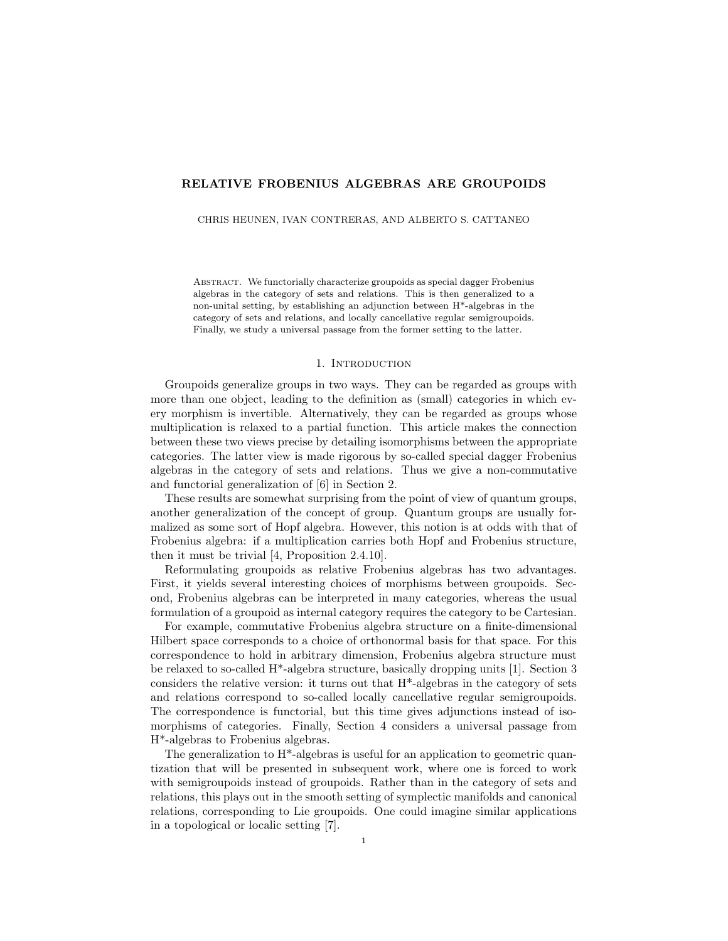## RELATIVE FROBENIUS ALGEBRAS ARE GROUPOIDS

CHRIS HEUNEN, IVAN CONTRERAS, AND ALBERTO S. CATTANEO

ABSTRACT. We functorially characterize groupoids as special dagger Frobenius algebras in the category of sets and relations. This is then generalized to a non-unital setting, by establishing an adjunction between H\*-algebras in the category of sets and relations, and locally cancellative regular semigroupoids. Finally, we study a universal passage from the former setting to the latter.

#### 1. INTRODUCTION

Groupoids generalize groups in two ways. They can be regarded as groups with more than one object, leading to the definition as (small) categories in which every morphism is invertible. Alternatively, they can be regarded as groups whose multiplication is relaxed to a partial function. This article makes the connection between these two views precise by detailing isomorphisms between the appropriate categories. The latter view is made rigorous by so-called special dagger Frobenius algebras in the category of sets and relations. Thus we give a non-commutative and functorial generalization of [6] in Section 2.

These results are somewhat surprising from the point of view of quantum groups, another generalization of the concept of group. Quantum groups are usually formalized as some sort of Hopf algebra. However, this notion is at odds with that of Frobenius algebra: if a multiplication carries both Hopf and Frobenius structure, then it must be trivial [4, Proposition 2.4.10].

Reformulating groupoids as relative Frobenius algebras has two advantages. First, it yields several interesting choices of morphisms between groupoids. Second, Frobenius algebras can be interpreted in many categories, whereas the usual formulation of a groupoid as internal category requires the category to be Cartesian.

For example, commutative Frobenius algebra structure on a finite-dimensional Hilbert space corresponds to a choice of orthonormal basis for that space. For this correspondence to hold in arbitrary dimension, Frobenius algebra structure must be relaxed to so-called H\*-algebra structure, basically dropping units [1]. Section 3 considers the relative version: it turns out that H\*-algebras in the category of sets and relations correspond to so-called locally cancellative regular semigroupoids. The correspondence is functorial, but this time gives adjunctions instead of isomorphisms of categories. Finally, Section 4 considers a universal passage from H\*-algebras to Frobenius algebras.

The generalization to  $H^*$ -algebras is useful for an application to geometric quantization that will be presented in subsequent work, where one is forced to work with semigroupoids instead of groupoids. Rather than in the category of sets and relations, this plays out in the smooth setting of symplectic manifolds and canonical relations, corresponding to Lie groupoids. One could imagine similar applications in a topological or localic setting [7].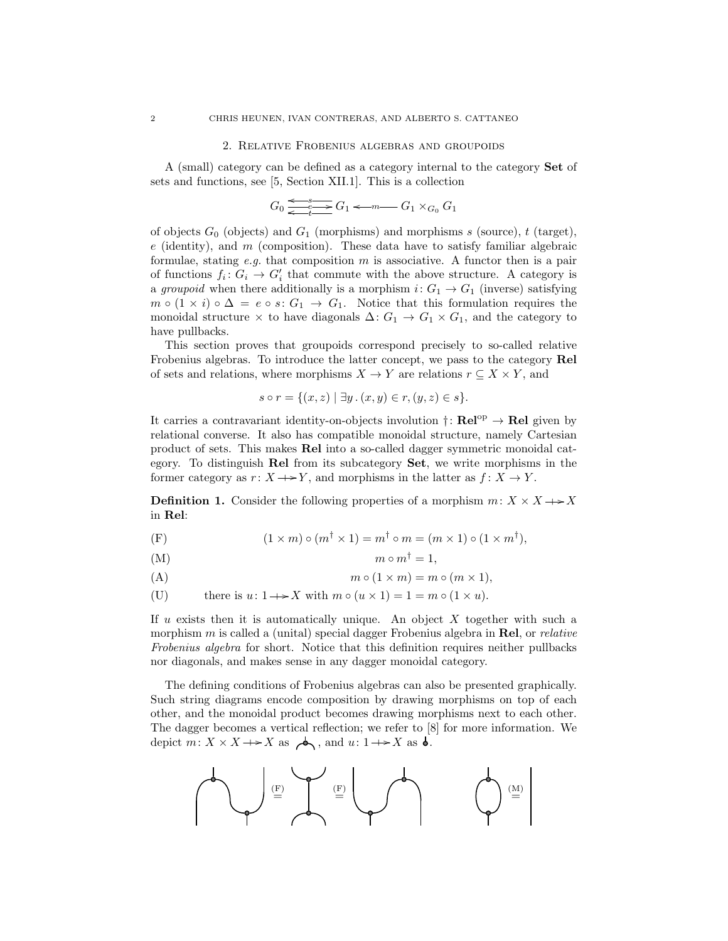#### 2. Relative Frobenius algebras and groupoids

A (small) category can be defined as a category internal to the category Set of sets and functions, see [5, Section XII.1]. This is a collection

> $G_0 \xrightarrow{e^{-s}} G_1$  $\overbrace{\leftarrow}^e \overbrace{t}$   $\longrightarrow$   $G_1 \leftarrow m$   $\longrightarrow$   $G_1 \times_{G_0} G_1$

of objects  $G_0$  (objects) and  $G_1$  (morphisms) and morphisms s (source), t (target),  $e$  (identity), and  $m$  (composition). These data have to satisfy familiar algebraic formulae, stating e.g. that composition  $m$  is associative. A functor then is a pair of functions  $f_i: G_i \to G'_i$  that commute with the above structure. A category is a groupoid when there additionally is a morphism  $i: G_1 \to G_1$  (inverse) satisfying  $m \circ (1 \times i) \circ \Delta = e \circ s$ :  $G_1 \rightarrow G_1$ . Notice that this formulation requires the monoidal structure  $\times$  to have diagonals  $\Delta: G_1 \to G_1 \times G_1$ , and the category to have pullbacks.

This section proves that groupoids correspond precisely to so-called relative Frobenius algebras. To introduce the latter concept, we pass to the category Rel of sets and relations, where morphisms  $X \to Y$  are relations  $r \subseteq X \times Y$ , and

$$
s \circ r = \{(x, z) \mid \exists y \,.\, (x, y) \in r, (y, z) \in s\}.
$$

It carries a contravariant identity-on-objects involution  $\dagger: \text{Rel}^{\text{op}} \to \text{Rel}$  given by relational converse. It also has compatible monoidal structure, namely Cartesian product of sets. This makes Rel into a so-called dagger symmetric monoidal category. To distinguish Rel from its subcategory Set, we write morphisms in the former category as  $r: X \rightarrow Y$ , and morphisms in the latter as  $f: X \rightarrow Y$ .

**Definition 1.** Consider the following properties of a morphism  $m: X \times X \longrightarrow X$ in Rel:

(F)  $(1 \times m) \circ (m^{\dagger} \times 1) = m^{\dagger} \circ m = (m \times 1) \circ (1 \times m^{\dagger}),$ 

$$
(M) \t m \circ m^{\dagger} = 1,
$$

$$
(A) \t m \circ (1 \times m) = m \circ (m \times 1),
$$

(U) there is  $u: 1 \rightarrow X$  with  $m \circ (u \times 1) = 1 = m \circ (1 \times u)$ .

If  $u$  exists then it is automatically unique. An object  $X$  together with such a morphism m is called a (unital) special dagger Frobenius algebra in **Rel**, or *relative* Frobenius algebra for short. Notice that this definition requires neither pullbacks nor diagonals, and makes sense in any dagger monoidal category.

The defining conditions of Frobenius algebras can also be presented graphically. Such string diagrams encode composition by drawing morphisms on top of each other, and the monoidal product becomes drawing morphisms next to each other. The dagger becomes a vertical reflection; we refer to [8] for more information. We depict  $m: X \times X \longrightarrow X$  as  $\bigwedge$ , and  $u: 1 \longrightarrow X$  as  $\bigwedge$ .

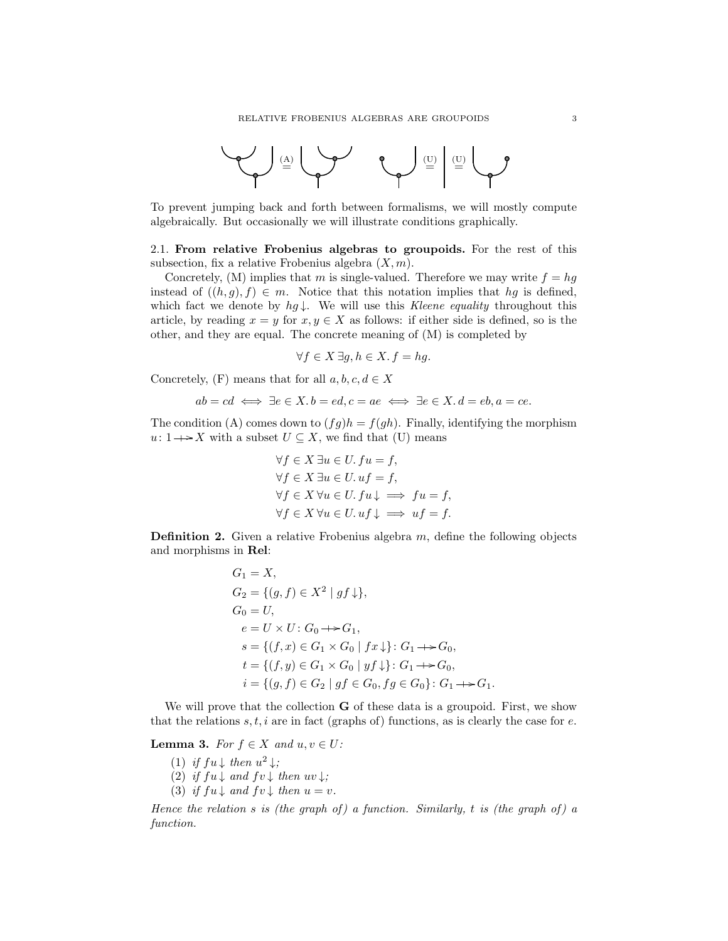

To prevent jumping back and forth between formalisms, we will mostly compute algebraically. But occasionally we will illustrate conditions graphically.

2.1. From relative Frobenius algebras to groupoids. For the rest of this subsection, fix a relative Frobenius algebra  $(X, m)$ .

Concretely, (M) implies that m is single-valued. Therefore we may write  $f = hg$ instead of  $((h, g), f) \in m$ . Notice that this notation implies that hg is defined, which fact we denote by  $hg \downarrow$ . We will use this Kleene equality throughout this article, by reading  $x = y$  for  $x, y \in X$  as follows: if either side is defined, so is the other, and they are equal. The concrete meaning of (M) is completed by

$$
\forall f \in X \,\exists g, h \in X. \, f = hg.
$$

Concretely,  $(F)$  means that for all  $a, b, c, d \in X$ 

$$
ab = cd \iff \exists e \in X \ldotp b = ed, c = ae \iff \exists e \in X \ldotp d = eb, a = ce.
$$

The condition (A) comes down to  $(fq)h = f(qh)$ . Finally, identifying the morphism  $u: 1 \rightarrow X$  with a subset  $U \subseteq X$ , we find that (U) means

$$
\forall f \in X \exists u \in U. \, fu = f,
$$
  
\n
$$
\forall f \in X \exists u \in U. \, uf = f,
$$
  
\n
$$
\forall f \in X \, \forall u \in U. \, fu \downarrow \implies fu = f,
$$
  
\n
$$
\forall f \in X \, \forall u \in U. \, uf \downarrow \implies uf = f.
$$

**Definition 2.** Given a relative Frobenius algebra  $m$ , define the following objects and morphisms in Rel:

$$
G_1 = X,
$$
  
\n
$$
G_2 = \{(g, f) \in X^2 \mid gf \downarrow\},
$$
  
\n
$$
G_0 = U,
$$
  
\n
$$
e = U \times U : G_0 \rightarrow G_1,
$$
  
\n
$$
s = \{(f, x) \in G_1 \times G_0 \mid fx \downarrow\} : G_1 \rightarrow G_0,
$$
  
\n
$$
t = \{(f, y) \in G_1 \times G_0 \mid yf \downarrow\} : G_1 \rightarrow G_0,
$$
  
\n
$$
i = \{(g, f) \in G_2 \mid gf \in G_0, fg \in G_0\} : G_1 \rightarrow G_1.
$$

We will prove that the collection **G** of these data is a groupoid. First, we show that the relations s, t, i are in fact (graphs of) functions, as is clearly the case for e.

**Lemma 3.** For  $f \in X$  and  $u, v \in U$ :

- (1) if  $fu \downarrow$  then  $u^2 \downarrow$ ;
- (2) if  $fu \downarrow$  and  $fv \downarrow$  then  $uv \downarrow$ ;
- (3) if  $fu \downarrow$  and  $fv \downarrow$  then  $u = v$ .

Hence the relation s is (the graph of) a function. Similarly, t is (the graph of) a function.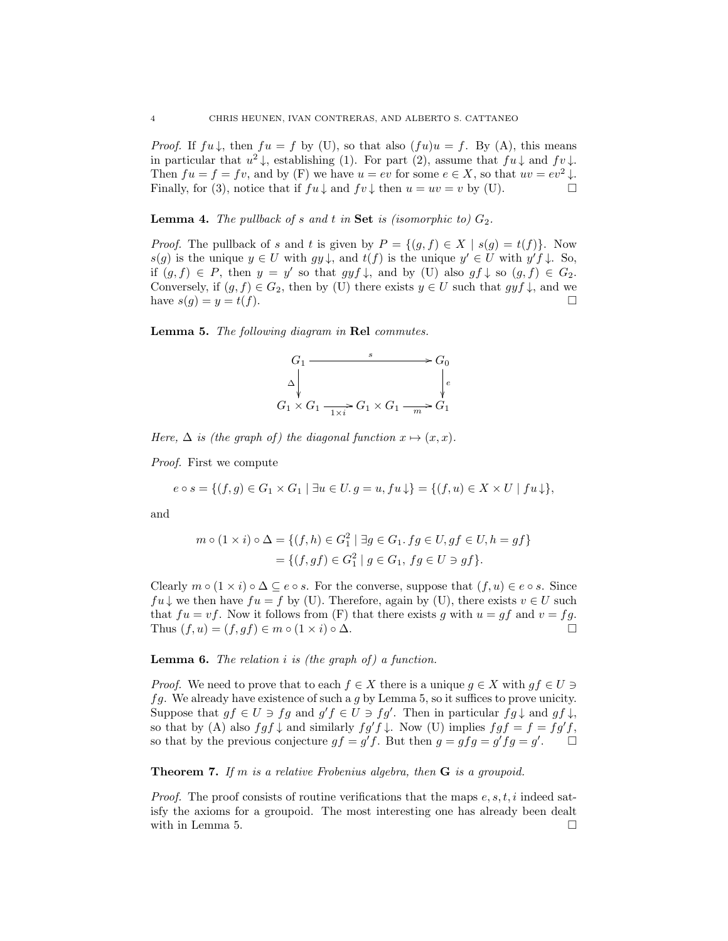*Proof.* If  $fu \downarrow$ , then  $fu = f$  by (U), so that also  $(fu)u = f$ . By (A), this means in particular that  $u^2 \downarrow$ , establishing (1). For part (2), assume that  $fu \downarrow$  and  $fv \downarrow$ . Then  $fu = f = fv$ , and by (F) we have  $u = ev$  for some  $e \in X$ , so that  $uv = ev^2 \downarrow$ . Finally, for (3), notice that if  $fu \downarrow$  and  $fv \downarrow$  then  $u = uv = v$  by (U).

**Lemma 4.** The pullback of s and t in Set is (isomorphic to)  $G_2$ .

*Proof.* The pullback of s and t is given by  $P = \{(q, f) \in X \mid s(q) = t(f)\}\.$  Now  $s(g)$  is the unique  $y \in U$  with  $gy \downarrow$ , and  $t(f)$  is the unique  $y' \in U$  with  $y' f \downarrow$ . So, if  $(g, f) \in P$ , then  $y = y'$  so that  $gyf \downarrow$ , and by (U) also  $gf \downarrow$  so  $(g, f) \in G_2$ . Conversely, if  $(g, f) \in G_2$ , then by (U) there exists  $y \in U$  such that  $gyf \downarrow$ , and we have  $s(g) = y = t(f)$ .

Lemma 5. The following diagram in Rel commutes.



Here,  $\Delta$  is (the graph of) the diagonal function  $x \mapsto (x, x)$ .

Proof. First we compute

$$
e \circ s = \{(f,g) \in G_1 \times G_1 \mid \exists u \in U. g = u, fu \downarrow\} = \{(f,u) \in X \times U \mid fu \downarrow\},\
$$

and

$$
m \circ (1 \times i) \circ \Delta = \{ (f, h) \in G_1^2 \mid \exists g \in G_1. fg \in U, gf \in U, h = gf \}
$$
  
=  $\{ (f, gf) \in G_1^2 \mid g \in G_1, fg \in U \ni gf \}.$ 

Clearly  $m \circ (1 \times i) \circ \Delta \subseteq e \circ s$ . For the converse, suppose that  $(f, u) \in e \circ s$ . Since  $fu \downarrow$  we then have  $fu = f$  by (U). Therefore, again by (U), there exists  $v \in U$  such that  $fu = vf$ . Now it follows from (F) that there exists g with  $u = gf$  and  $v = fg$ . Thus  $(f, u) = (f, gf) \in m \circ (1 \times i) \circ \Delta$ .

## **Lemma 6.** The relation  $i$  is (the graph of) a function.

*Proof.* We need to prove that to each  $f \in X$  there is a unique  $g \in X$  with  $gf \in U \ni$  $fg.$  We already have existence of such a g by Lemma 5, so it suffices to prove unicity. Suppose that  $gf \in U \ni fg$  and  $g'f \in U \ni fg'$ . Then in particular  $fg \downarrow$  and  $gf \downarrow$ , so that by (A) also  $fgf \downarrow$  and similarly  $fg'f \downarrow$ . Now (U) implies  $fgf = f = fg'f$ , so that by the previous conjecture  $gf = g'f$ . But then  $g = gfg = g'fg = g'$ .

**Theorem 7.** If m is a relative Frobenius algebra, then  $G$  is a groupoid.

*Proof.* The proof consists of routine verifications that the maps  $e, s, t, i$  indeed satisfy the axioms for a groupoid. The most interesting one has already been dealt with in Lemma 5.  $\Box$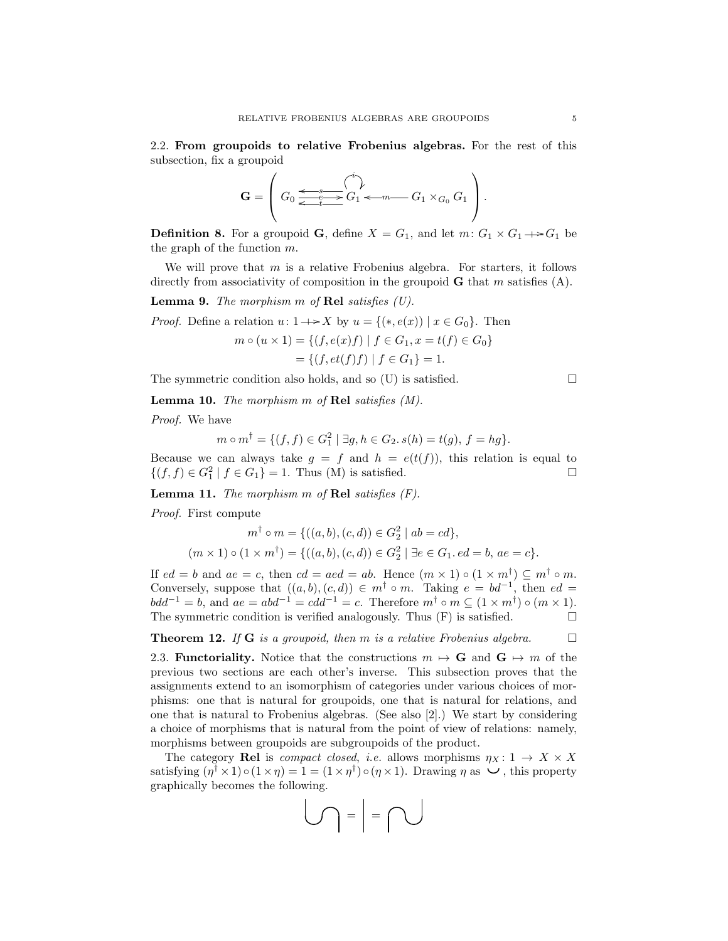2.2. From groupoids to relative Frobenius algebras. For the rest of this subsection, fix a groupoid

$$
\mathbf{G} = \left( G_0 \underbrace{\Longleftrightarrow_{e^-}^{s} \overbrace{C_1}^{i} \downarrow}_{t \longrightarrow C_1 \longleftarrow m} G_1 \times_{G_0} G_1 \right).
$$

**Definition 8.** For a groupoid **G**, define  $X = G_1$ , and let  $m: G_1 \times G_1 \rightarrow G_1$  be the graph of the function  $m$ .

We will prove that  $m$  is a relative Frobenius algebra. For starters, it follows directly from associativity of composition in the groupoid  $\bf{G}$  that m satisfies (A).

**Lemma 9.** The morphism  $m$  of Rel satisfies  $(U)$ .

*Proof.* Define a relation  $u: 1 \rightarrow X$  by  $u = \{(*, e(x)) \mid x \in G_0\}$ . Then

$$
m \circ (u \times 1) = \{ (f, e(x)f) \mid f \in G_1, x = t(f) \in G_0 \}
$$
  
= \{ (f, et(f)f) \mid f \in G\_1 \} = 1.

The symmetric condition also holds, and so  $(U)$  is satisfied.  $\Box$ 

Lemma 10. The morphism m of Rel satisfies (M).

Proof. We have

$$
m \circ m^{\dagger} = \{ (f, f) \in G_1^2 \mid \exists g, h \in G_2. s(h) = t(g), f = hg \}.
$$

Because we can always take  $g = f$  and  $h = e(t(f))$ , this relation is equal to  ${(f, f) \in G_1^2 \mid f \in G_1} = 1$ . Thus (M) is satisfied.

**Lemma 11.** The morphism  $m$  of Rel satisfies  $(F)$ .

Proof. First compute

$$
m^{\dagger} \circ m = \{ ((a, b), (c, d)) \in G_2^2 \mid ab = cd \},\
$$

$$
(m \times 1) \circ (1 \times m^{\dagger}) = \{ ((a, b), (c, d)) \in G_2^2 \mid \exists e \in G_1. \, ed = b, \, ae = c \}.
$$

If  $ed = b$  and  $ae = c$ , then  $cd = aed = ab$ . Hence  $(m \times 1) \circ (1 \times m^{\dagger}) \subseteq m^{\dagger} \circ m$ . Conversely, suppose that  $((a, b), (c, d)) \in m^{\dagger} \circ m$ . Taking  $e = bd^{-1}$ , then  $ed =$  $bdd^{-1} = b$ , and  $ae = abd^{-1} = cdd^{-1} = c$ . Therefore  $m^{\dagger} \circ m \subseteq (1 \times m^{\dagger}) \circ (m \times 1)$ . The symmetric condition is verified analogously. Thus  $(F)$  is satisfied.  $\Box$ 

**Theorem 12.** If G is a groupoid, then m is a relative Frobenius algebra.  $\square$ 

2.3. **Functoriality.** Notice that the constructions  $m \mapsto G$  and  $G \mapsto m$  of the previous two sections are each other's inverse. This subsection proves that the assignments extend to an isomorphism of categories under various choices of morphisms: one that is natural for groupoids, one that is natural for relations, and one that is natural to Frobenius algebras. (See also [2].) We start by considering a choice of morphisms that is natural from the point of view of relations: namely, morphisms between groupoids are subgroupoids of the product.

The category **Rel** is *compact closed, i.e.* allows morphisms  $\eta_X : 1 \to X \times X$ satisfying  $(\eta^{\dagger} \times 1) \circ (1 \times \eta) = 1 = (1 \times \eta^{\dagger}) \circ (\eta \times 1)$ . Drawing  $\eta$  as  $\vee$ , this property graphically becomes the following.

$$
\bigcup_{i=1}^n \alpha_i = \alpha \bigcap_{i=1}^n \alpha_i
$$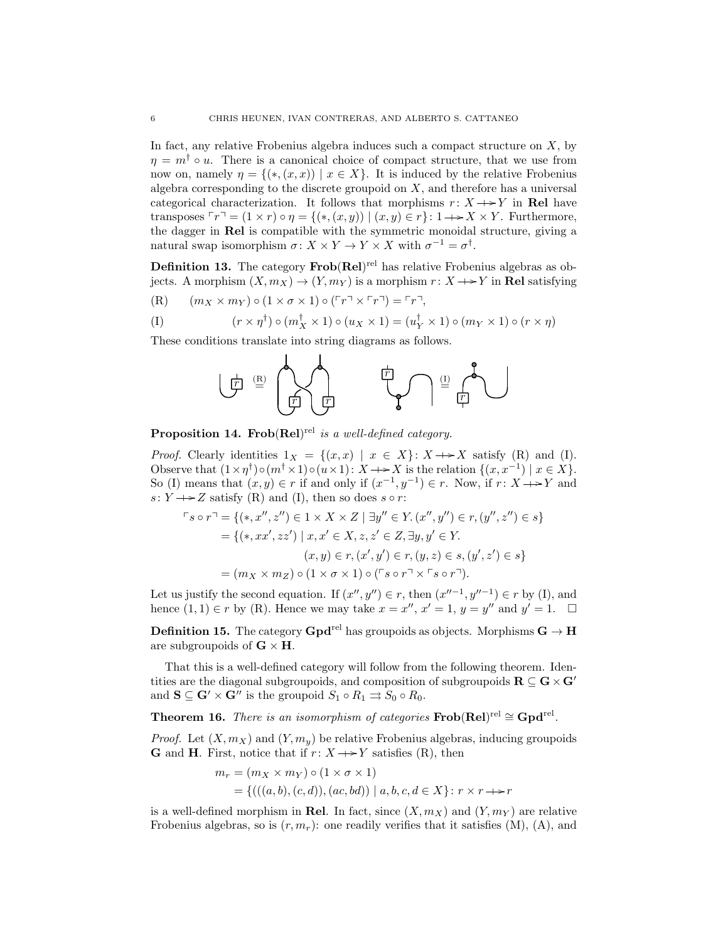In fact, any relative Frobenius algebra induces such a compact structure on X, by  $\eta = m^{\dagger} \circ u$ . There is a canonical choice of compact structure, that we use from now on, namely  $\eta = \{(*, (x, x)) \mid x \in X\}$ . It is induced by the relative Frobenius algebra corresponding to the discrete groupoid on  $X$ , and therefore has a universal categorical characterization. It follows that morphisms  $r: X \rightarrow Y$  in Rel have transposes  $\ulcorner r \urcorner = (1 \times r) \circ \eta = \{(*,(x,y)) \mid (x,y) \in r\} : 1 \rightarrow X \times Y$ . Furthermore, the dagger in Rel is compatible with the symmetric monoidal structure, giving a natural swap isomorphism  $\sigma: X \times Y \to Y \times X$  with  $\sigma^{-1} = \sigma^{\dagger}$ .

**Definition 13.** The category  $\text{Frob}(\text{Rel})^{\text{rel}}$  has relative Frobenius algebras as objects. A morphism  $(X, m_X) \to (Y, m_Y)$  is a morphism  $r: X \to Y$  in Rel satisfying  $(R)$  (mx × mx)  $(1 \times \sigma \times 1)$   $(2 \times \sigma \times \sigma)$ 

$$
(R) \qquad (m_X \times m_Y) \circ (1 \times \sigma \times 1) \circ (r \times r \cdot r \cdot r) = r \cdot r
$$

$$
(I) \qquad (r \times \eta^{\dagger}) \circ (m_X^{\dagger} \times 1) \circ (u_X \times 1) = (u_Y^{\dagger} \times 1) \circ (m_Y \times 1) \circ (r \times \eta)
$$

These conditions translate into string diagrams as follows.



**Proposition 14. Frob**(Rel)<sup>rel</sup> is a well-defined category.

*Proof.* Clearly identities  $1_X = \{(x, x) | x \in X\}$ :  $X \rightarrow X$  satisfy (R) and (I). Observe that  $(1 \times \eta^{\dagger}) \circ (m^{\dagger} \times 1) \circ (u \times 1) : X \longrightarrow X$  is the relation  $\{(x, x^{-1}) \mid x \in X\}$ . So (I) means that  $(x, y) \in r$  if and only if  $(x^{-1}, y^{-1}) \in r$ . Now, if  $r: X \to Y$  and  $s: Y \longrightarrow Z$  satisfy (R) and (I), then so does  $s \circ r$ :

$$
\begin{aligned}\n\Gamma s \circ r^{\top} &= \{ (*, x'', z'') \in 1 \times X \times Z \mid \exists y'' \in Y. \, (x'', y'') \in r, (y'', z'') \in s \} \\
&= \{(*, xx', zz') \mid x, x' \in X, z, z' \in Z, \exists y, y' \in Y. \\
&\quad (x, y) \in r, (x', y') \in r, (y, z) \in s, (y', z') \in s \} \\
&= (m_X \times m_Z) \circ (1 \times \sigma \times 1) \circ (\Gamma s \circ r^{\top} \times \Gamma s \circ r^{\top}).\n\end{aligned}
$$

Let us justify the second equation. If  $(x'', y'') \in r$ , then  $(x''^{-1}, y''^{-1}) \in r$  by (I), and hence  $(1,1) \in r$  by  $(R)$ . Hence we may take  $x = x''$ ,  $x' = 1$ ,  $y = y''$  and  $y' = 1$ .  $\Box$ 

**Definition 15.** The category  $\mathbf{Gpd}^{\text{rel}}$  has groupoids as objects. Morphisms  $\mathbf{G} \to \mathbf{H}$ are subgroupoids of  $G \times H$ .

That this is a well-defined category will follow from the following theorem. Identities are the diagonal subgroupoids, and composition of subgroupoids  $\mathbf{R} \subseteq \mathbf{G} \times \mathbf{G}'$ and  $S \subseteq G' \times G''$  is the groupoid  $S_1 \circ R_1 \rightrightarrows S_0 \circ R_0$ .

**Theorem 16.** There is an isomorphism of categories  $\textbf{Frob}(\textbf{Rel})^{\text{rel}} \cong \textbf{Gpd}^{\text{rel}}$ .

*Proof.* Let  $(X, m_X)$  and  $(Y, m_y)$  be relative Frobenius algebras, inducing groupoids **G** and **H**. First, notice that if  $r: X \rightarrow Y$  satisfies (R), then

$$
m_r = (m_X \times m_Y) \circ (1 \times \sigma \times 1)
$$
  
= {(((a, b), (c, d)), (ac, bd)) | a, b, c, d \in X} : r \times r \longrightarrow r

is a well-defined morphism in Rel. In fact, since  $(X, m_X)$  and  $(Y, m_Y)$  are relative Frobenius algebras, so is  $(r, m_r)$ : one readily verifies that it satisfies  $(M)$ ,  $(A)$ , and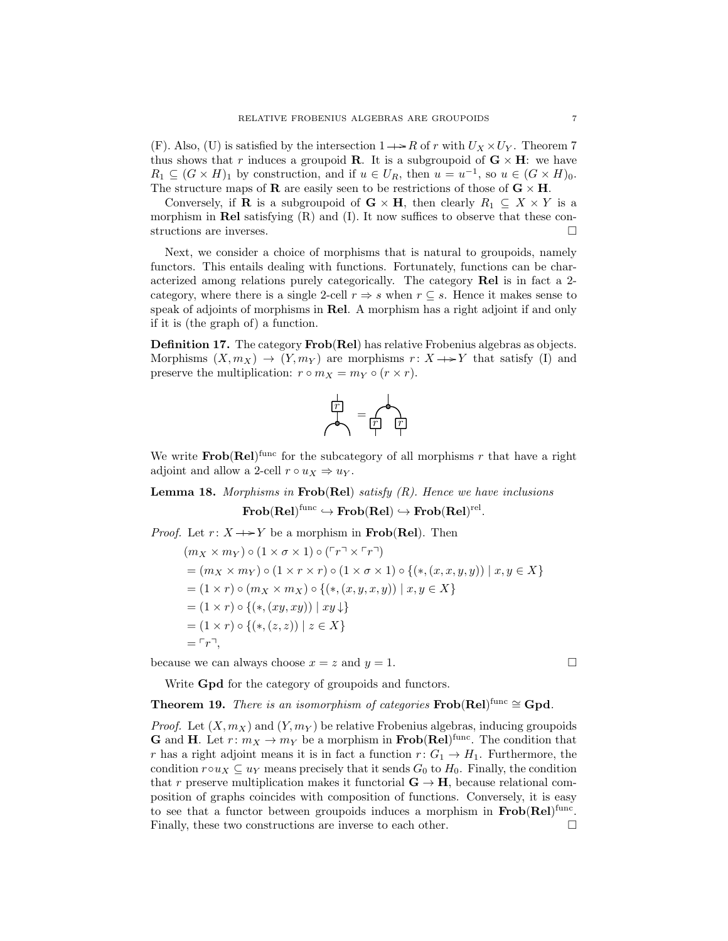(F). Also, (U) is satisfied by the intersection  $1 \rightarrow R$  of r with  $U_X \times U_Y$ . Theorem 7 thus shows that r induces a groupoid **R**. It is a subgroupoid of  $\mathbf{G} \times \mathbf{H}$ : we have  $R_1 \subseteq (G \times H)_1$  by construction, and if  $u \in U_R$ , then  $u = u^{-1}$ , so  $u \in (G \times H)_0$ . The structure maps of **R** are easily seen to be restrictions of those of  $\mathbf{G} \times \mathbf{H}$ .

Conversely, if **R** is a subgroupoid of  $\mathbf{G} \times \mathbf{H}$ , then clearly  $R_1 \subseteq X \times Y$  is a morphism in Rel satisfying  $(R)$  and  $(I)$ . It now suffices to observe that these constructions are inverses.

Next, we consider a choice of morphisms that is natural to groupoids, namely functors. This entails dealing with functions. Fortunately, functions can be characterized among relations purely categorically. The category Rel is in fact a 2 category, where there is a single 2-cell  $r \Rightarrow s$  when  $r \subseteq s$ . Hence it makes sense to speak of adjoints of morphisms in Rel. A morphism has a right adjoint if and only if it is (the graph of) a function.

Definition 17. The category Frob(Rel) has relative Frobenius algebras as objects. Morphisms  $(X, m_X) \rightarrow (Y, m_Y)$  are morphisms  $r: X \rightarrow Y$  that satisfy (I) and preserve the multiplication:  $r \circ m_X = m_Y \circ (r \times r)$ .

$$
\overrightarrow{r}
$$
 = 
$$
\overrightarrow{r}
$$

We write  $\textbf{Frob}(\textbf{Rel})^{\text{func}}$  for the subcategory of all morphisms r that have a right adjoint and allow a 2-cell  $r \circ u_X \Rightarrow u_Y$ .

**Lemma 18.** Morphisms in Frob(Rel) satisfy  $(R)$ . Hence we have inclusions  $\mathbf{Frob}(\mathbf{Rel})^\mathrm{func}\hookrightarrow \mathbf{Frob}(\mathbf{Rel})\hookrightarrow \mathbf{Frob}(\mathbf{Rel})^\mathrm{rel}.$ 

*Proof.* Let  $r: X \rightarrow Y$  be a morphism in **Frob**(Rel). Then

$$
(m_X \times m_Y) \circ (1 \times \sigma \times 1) \circ (\ulcorner r \urcorner \times \ulcorner r \urcorner)
$$
\n
$$
= (m_X \times m_Y) \circ (1 \times r \times r) \circ (1 \times \sigma \times 1) \circ \{(*, (x, x, y, y)) \mid x, y \in X\}
$$
\n
$$
= (1 \times r) \circ (m_X \times m_X) \circ \{(*, (x, y, x, y)) \mid x, y \in X\}
$$
\n
$$
= (1 \times r) \circ \{(*, (xy, xy)) \mid xy \downarrow\}
$$
\n
$$
= (1 \times r) \circ \{(*, (z, z)) \mid z \in X\}
$$
\n
$$
= \ulcorner r \urcorner,
$$

because we can always choose  $x = z$  and  $y = 1$ .

Write Gpd for the category of groupoids and functors.

**Theorem 19.** There is an isomorphism of categories  $\textbf{Frob}(\textbf{Rel})^{\text{func}} \cong \textbf{Gpd}$ .

*Proof.* Let  $(X, m_X)$  and  $(Y, m_Y)$  be relative Frobenius algebras, inducing groupoids **G** and **H**. Let  $r: m_X \to m_Y$  be a morphism in **Frob**(Rel)<sup>func</sup>. The condition that r has a right adjoint means it is in fact a function  $r: G_1 \to H_1$ . Furthermore, the condition  $r \circ u_X \subseteq u_Y$  means precisely that it sends  $G_0$  to  $H_0$ . Finally, the condition that r preserve multiplication makes it functorial  $\mathbf{G} \to \mathbf{H}$ , because relational composition of graphs coincides with composition of functions. Conversely, it is easy to see that a functor between groupoids induces a morphism in  $Frob(Rel)^{func}$ . Finally, these two constructions are inverse to each other.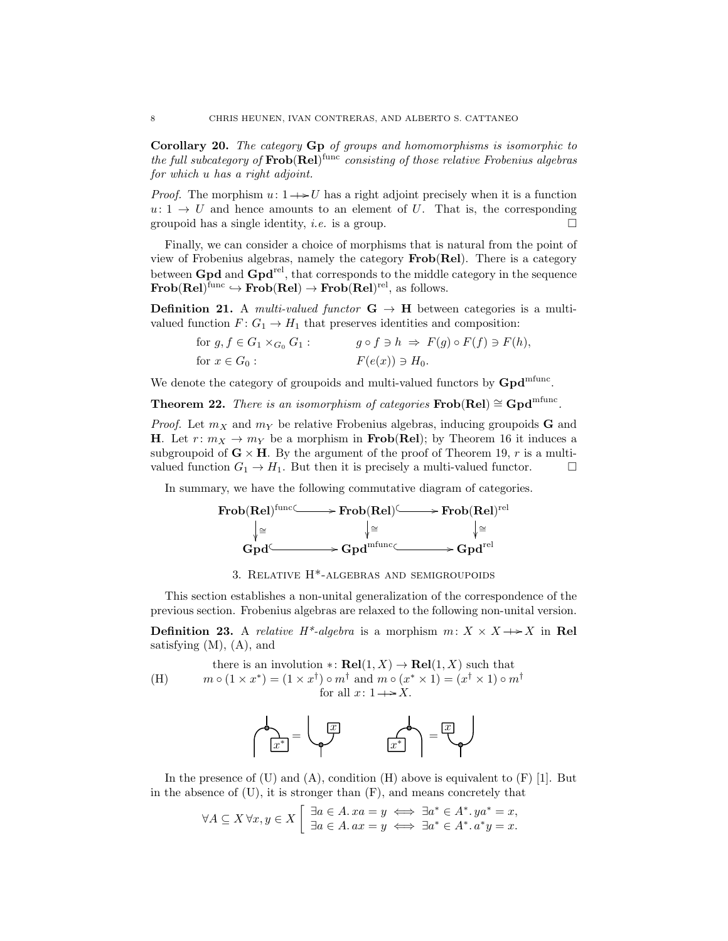Corollary 20. The category Gp of groups and homomorphisms is isomorphic to the full subcategory of  $\text{Frob}(\text{Rel})^{\text{func}}$  consisting of those relative Frobenius algebras for which u has a right adjoint.

*Proof.* The morphism  $u: 1 \rightarrow U$  has a right adjoint precisely when it is a function  $u: 1 \to U$  and hence amounts to an element of U. That is, the corresponding groupoid has a single identity, *i.e.* is a group.  $\square$ 

Finally, we can consider a choice of morphisms that is natural from the point of view of Frobenius algebras, namely the category Frob(Rel). There is a category between  $Gpd$  and  $Gpd<sup>rel</sup>$ , that corresponds to the middle category in the sequence  $Frob(Rel)^{func} \hookrightarrow Frob(Rel) \rightarrow Frob(Rel)^{rel},$  as follows.

**Definition 21.** A multi-valued functor  $G \rightarrow H$  between categories is a multivalued function  $F: G_1 \to H_1$  that preserves identities and composition:

for 
$$
g, f \in G_1 \times_{G_0} G_1
$$
:  
\nfor  $x \in G_0$ :  
\n $g \circ f \ni h \Rightarrow F(g) \circ F(f) \ni F(h)$ ,  
\n $F(e(x)) \ni H_0$ .

We denote the category of groupoids and multi-valued functors by  $Gpd<sup>mfunc</sup>$ .

Theorem 22. There is an isomorphism of categories  $Frob(Rel) \cong Gpd<sup>mtunc</sup>$ .

*Proof.* Let  $m_X$  and  $m_Y$  be relative Frobenius algebras, inducing groupoids **G** and **H**. Let  $r: m_X \to m_Y$  be a morphism in **Frob(Rel)**; by Theorem 16 it induces a subgroupoid of  $\mathbf{G} \times \mathbf{H}$ . By the argument of the proof of Theorem 19, r is a multivalued function  $G_1 \to H_1$ . But then it is precisely a multi-valued functor.  $\Box$ 

In summary, we have the following commutative diagram of categories.



## 3. Relative H\*-algebras and semigroupoids

This section establishes a non-unital generalization of the correspondence of the previous section. Frobenius algebras are relaxed to the following non-unital version.

**Definition 23.** A relative  $H^*$ -algebra is a morphism  $m: X \times X \rightarrow X$  in Rel satisfying  $(M)$ ,  $(A)$ , and

(1) there is an involution 
$$
\ast\colon \text{Rel}(1, X) \to \text{Rel}(1, X)
$$
 such that  $m \circ (1 \times x^*) = (1 \times x^{\dagger}) \circ m^{\dagger}$  and  $m \circ (x^* \times 1) = (x^{\dagger} \times 1) \circ m^{\dagger}$  for all  $x: 1 \to X$ .



In the presence of  $(U)$  and  $(A)$ , condition  $(H)$  above is equivalent to  $(F)$  [1]. But in the absence of  $(U)$ , it is stronger than  $(F)$ , and means concretely that

$$
\forall A \subseteq X \,\forall x, y \in X \left[ \begin{array}{l} \exists a \in A. \, xa = y \iff \exists a^* \in A^*. \, ya^* = x, \\ \exists a \in A. \, ax = y \iff \exists a^* \in A^*. \, a^*y = x. \end{array} \right]
$$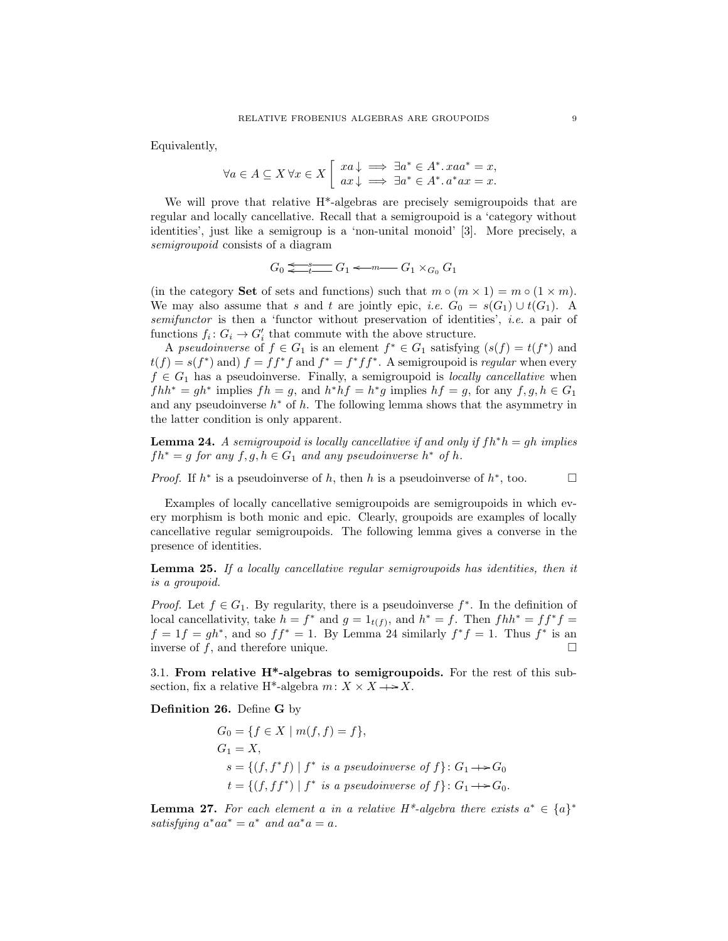Equivalently,

$$
\forall a \in A \subseteq X \,\forall x \in X \left[\begin{array}{l} xa \downarrow \implies \exists a^* \in A^*. xaa^* = x, \\ ax \downarrow \implies \exists a^* \in A^*. a^*ax = x. \end{array}\right]
$$

We will prove that relative  $H^*$ -algebras are precisely semigroupoids that are regular and locally cancellative. Recall that a semigroupoid is a 'category without identities', just like a semigroup is a 'non-unital monoid' [3]. More precisely, a semigroupoid consists of a diagram

$$
G_0 \xleftarrow{\hspace{1cm}} G_1 \xleftarrow{\hspace{1cm}} G_1 \xleftarrow{\hspace{1cm}} G_1 \times_{G_0} G_1
$$

(in the category Set of sets and functions) such that  $m \circ (m \times 1) = m \circ (1 \times m)$ . We may also assume that s and t are jointly epic, i.e.  $G_0 = s(G_1) \cup t(G_1)$ . A semifunctor is then a 'functor without preservation of identities', *i.e.* a pair of functions  $f_i: G_i \to G'_i$  that commute with the above structure.

A pseudoinverse of  $f \in G_1$  is an element  $f^* \in G_1$  satisfying  $(s(f) = t(f^*)$  and  $t(f) = s(f^*)$  and)  $f = ff^*f$  and  $f^* = f^*ff^*$ . A semigroupoid is *regular* when every  $f \in G_1$  has a pseudoinverse. Finally, a semigroupoid is *locally cancellative* when  $fhh^* = gh^*$  implies  $fh = g$ , and  $h^*hf = h^*g$  implies  $hf = g$ , for any  $f, g, h \in G_1$ and any pseudoinverse  $h^*$  of  $h$ . The following lemma shows that the asymmetry in the latter condition is only apparent.

**Lemma 24.** A semigroupoid is locally cancellative if and only if  $fh^*h = gh$  implies  $fh^* = g$  for any  $f, g, h \in G_1$  and any pseudoinverse  $h^*$  of h.

*Proof.* If  $h^*$  is a pseudoinverse of h, then h is a pseudoinverse of  $h^*$ , too.  $\square$ 

Examples of locally cancellative semigroupoids are semigroupoids in which every morphism is both monic and epic. Clearly, groupoids are examples of locally cancellative regular semigroupoids. The following lemma gives a converse in the presence of identities.

Lemma 25. If a locally cancellative regular semigroupoids has identities, then it is a groupoid.

*Proof.* Let  $f \in G_1$ . By regularity, there is a pseudoinverse  $f^*$ . In the definition of local cancellativity, take  $h = f^*$  and  $g = 1_{t(f)}$ , and  $h^* = f$ . Then  $fhh^* = ff^*f =$  $f = 1f = gh^*$ , and so  $ff^* = 1$ . By Lemma 24 similarly  $f^*f = 1$ . Thus  $f^*$  is an inverse of  $f$ , and therefore unique.

3.1. From relative H\*-algebras to semigroupoids. For the rest of this subsection, fix a relative H<sup>\*</sup>-algebra  $m: X \times X \longrightarrow X$ .

Definition 26. Define G by

$$
G_0 = \{ f \in X \mid m(f, f) = f \},
$$
  
\n
$$
G_1 = X,
$$
  
\n
$$
s = \{ (f, f^*f) \mid f^* \text{ is a pseudoinverse of } f \} : G_1 \longrightarrow G_0
$$
  
\n
$$
t = \{ (f, f f^*) \mid f^* \text{ is a pseudoinverse of } f \} : G_1 \longrightarrow G_0.
$$

**Lemma 27.** For each element a in a relative H<sup>\*</sup>-algebra there exists  $a^* \in \{a\}^*$ satisfying  $a^*aa^* = a^*$  and  $aa^*a = a$ .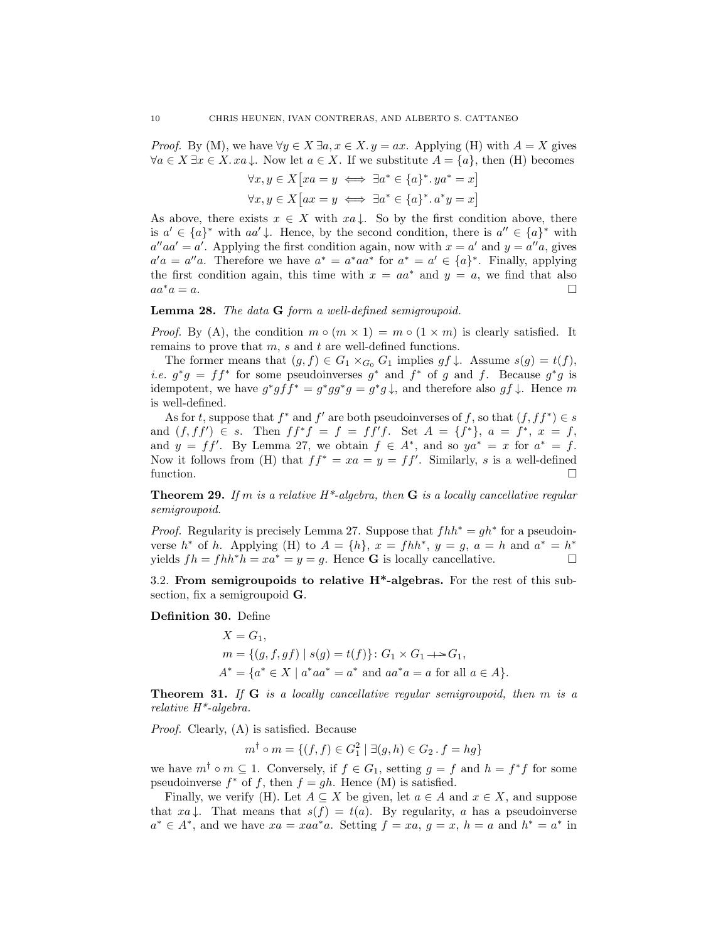*Proof.* By (M), we have  $\forall y \in X \exists a, x \in X. y = ax$ . Applying (H) with  $A = X$  gives  $\forall a \in X \exists x \in X. \ x a \downarrow.$  Now let  $a \in X$ . If we substitute  $A = \{a\}$ , then (H) becomes

$$
\forall x, y \in X [xa = y \iff \exists a^* \in \{a\}^*.ya^* = x]
$$

$$
\forall x, y \in X [ax = y \iff \exists a^* \in \{a\}^*.a^*y = x]
$$

As above, there exists  $x \in X$  with  $xa \downarrow$ . So by the first condition above, there is  $a' \in \{a\}^*$  with  $aa' \downarrow$ . Hence, by the second condition, there is  $a'' \in \{a\}^*$  with  $a''aa' = a'$ . Applying the first condition again, now with  $x = a'$  and  $y = a''a$ , gives  $a'a = a''a$ . Therefore we have  $a^* = a^*aa^*$  for  $a^* = a' \in \{a\}^*$ . Finally, applying the first condition again, this time with  $x = aa^*$  and  $y = a$ , we find that also  $aa^*a = a$ .

## Lemma 28. The data G form a well-defined semigroupoid.

*Proof.* By (A), the condition  $m \circ (m \times 1) = m \circ (1 \times m)$  is clearly satisfied. It remains to prove that  $m$ ,  $s$  and  $t$  are well-defined functions.

The former means that  $(g, f) \in G_1 \times_{G_0} G_1$  implies  $gf \downarrow$ . Assume  $s(g) = t(f)$ , *i.e.*  $g^*g = ff^*$  for some pseudoinverses  $g^*$  and  $f^*$  of g and f. Because  $g^*g$  is idempotent, we have  $g^*g f f^* = g^*g g^* g = g^*g \downarrow$ , and therefore also  $gf \downarrow$ . Hence m is well-defined.

As for t, suppose that  $f^*$  and  $f'$  are both pseudoinverses of f, so that  $(f, ff^*) \in s$ and  $(f, f f') \in s$ . Then  $f f^* f = f = f f' f$ . Set  $A = \{f^*\}, a = f^*, x = f$ , and  $y = ff'$ . By Lemma 27, we obtain  $f \in A^*$ , and so  $ya^* = x$  for  $a^* = f$ . Now it follows from (H) that  $ff^* = xa = y = ff'$ . Similarly, s is a well-defined function.  $\square$ 

**Theorem 29.** If m is a relative  $H^*$ -algebra, then  $G$  is a locally cancellative regular semigroupoid.

*Proof.* Regularity is precisely Lemma 27. Suppose that  $fhh^* = gh^*$  for a pseudoinverse  $h^*$  of h. Applying (H) to  $A = \{h\}, x = fhh^*, y = g, a = h$  and  $a^* = h^*$ yields  $fh = fhh^*h = xa^* = y = g$ . Hence **G** is locally cancellative.

3.2. From semigroupoids to relative H\*-algebras. For the rest of this subsection, fix a semigroupoid G.

Definition 30. Define

$$
X = G_1,
$$
  
\n
$$
m = \{(g, f, gf) \mid s(g) = t(f)\} : G_1 \times G_1 \longrightarrow G_1,
$$
  
\n
$$
A^* = \{a^* \in X \mid a^*aa^* = a^* \text{ and } aa^*a = a \text{ for all } a \in A\}.
$$

**Theorem 31.** If  $G$  is a locally cancellative regular semigroupoid, then  $m$  is a relative H\*-algebra.

Proof. Clearly, (A) is satisfied. Because

$$
m^{\dagger} \circ m = \{ (f, f) \in G_1^2 \mid \exists (g, h) \in G_2 \, . \, f = hg \}
$$

we have  $m^{\dagger} \circ m \subseteq 1$ . Conversely, if  $f \in G_1$ , setting  $g = f$  and  $h = f^*f$  for some pseudoinverse  $f^*$  of f, then  $f = gh$ . Hence (M) is satisfied.

Finally, we verify (H). Let  $A \subseteq X$  be given, let  $a \in A$  and  $x \in X$ , and suppose that  $xa \downarrow$ . That means that  $s(f) = t(a)$ . By regularity, a has a pseudoinverse  $a^* \in A^*$ , and we have  $xa = xaa^*a$ . Setting  $f = xa$ ,  $g = x$ ,  $h = a$  and  $h^* = a^*$  in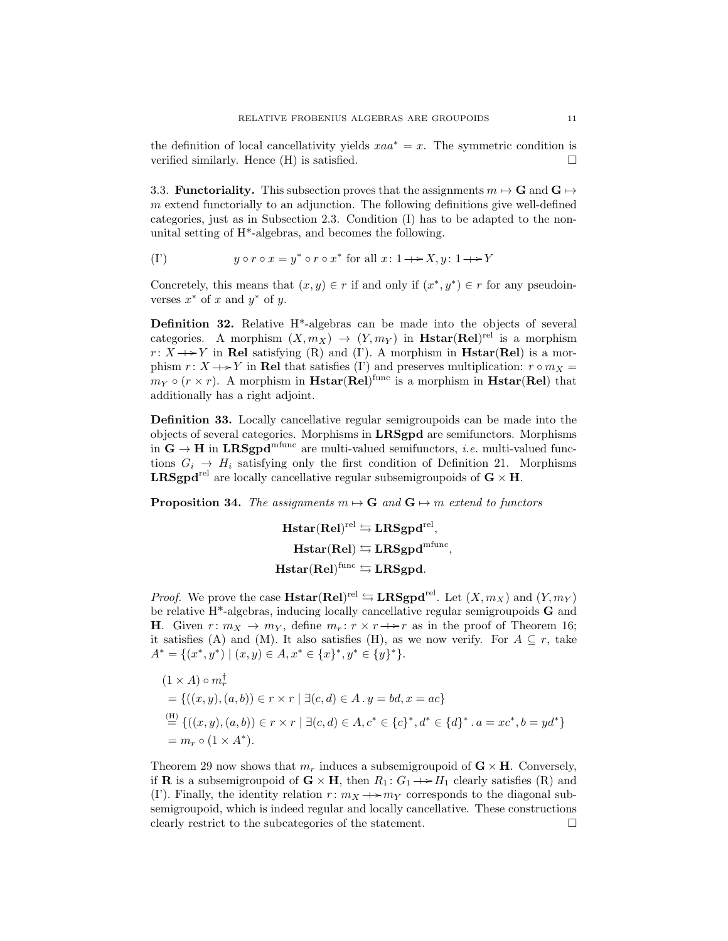the definition of local cancellativity yields  $xaa^* = x$ . The symmetric condition is verified similarly. Hence  $(H)$  is satisfied.  $\Box$ 

3.3. **Functoriality.** This subsection proves that the assignments  $m \mapsto \mathbf{G}$  and  $\mathbf{G} \mapsto$ m extend functorially to an adjunction. The following definitions give well-defined categories, just as in Subsection 2.3. Condition (I) has to be adapted to the nonunital setting of H\*-algebras, and becomes the following.

$$
(I') \t y \circ r \circ x = y^* \circ r \circ x^* \text{ for all } x \colon 1 \to X, y \colon 1 \to Y
$$

Concretely, this means that  $(x, y) \in r$  if and only if  $(x^*, y^*) \in r$  for any pseudoinverses  $x^*$  of x and  $y^*$  of y.

Definition 32. Relative H\*-algebras can be made into the objects of several categories. A morphism  $(X, m_X) \to (Y, m_Y)$  in **Hstar(Rel**)<sup>rel</sup> is a morphism  $r: X \rightarrow Y$  in Rel satisfying (R) and (I'). A morphism in **Hstar(Rel)** is a morphism  $r: X \rightarrow Y$  in Rel that satisfies (I') and preserves multiplication:  $r \circ m_X =$  $m_Y \circ (r \times r)$ . A morphism in **Hstar(Rel)**<sup>func</sup> is a morphism in **Hstar(Rel)** that additionally has a right adjoint.

Definition 33. Locally cancellative regular semigroupoids can be made into the objects of several categories. Morphisms in LRSgpd are semifunctors. Morphisms in  $G \rightarrow H$  in  $LRSgpd<sup>mfunc</sup>$  are multi-valued semifunctors, *i.e.* multi-valued functions  $G_i \rightarrow H_i$  satisfying only the first condition of Definition 21. Morphisms **LRSgpd**<sup>rel</sup> are locally cancellative regular subsemigroupoids of  $\mathbf{G} \times \mathbf{H}$ .

**Proposition 34.** The assignments  $m \mapsto \mathbf{G}$  and  $\mathbf{G} \mapsto m$  extend to functors

$$
\begin{aligned} &\mathbf{Hstar(Rel)^{rel}\leftrightarrows LRSgpd^{rel},}\\ &\mathbf{Hstar(Rel)\leftrightarrows LRSgpd^{mfunc},}\\ &\mathbf{Hstar(Rel)^{func}\leftrightarrows LRSgpd.} \end{aligned}
$$

*Proof.* We prove the case **Hstar(Rel**)<sup>rel</sup>  $\hookrightarrow$  **LRSgpd**<sup>rel</sup>. Let  $(X, m_X)$  and  $(Y, m_Y)$ be relative H\*-algebras, inducing locally cancellative regular semigroupoids G and **H**. Given  $r: m_X \to m_Y$ , define  $m_r: r \times r \to r$  as in the proof of Theorem 16; it satisfies (A) and (M). It also satisfies (H), as we now verify. For  $A \subseteq r$ , take  $A^* = \{(x^*, y^*) \mid (x, y) \in A, x^* \in \{x\}^*, y^* \in \{y\}^*\}.$ 

$$
(1 \times A) \circ m_r^{\dagger}
$$
  
= {((x, y), (a, b)) \in r \times r |  $\exists$  (c, d) \in A. y = bd, x = ac}  
 $\stackrel{\text{(H)}}{=} {((x, y), (a, b)) \in r \times r |  $\exists$  (c, d) \in A, c^* \in {c}^*, d^* \in {d}^*. a = xc^*, b = yd^*}$   
=  $m_r \circ (1 \times A^*)$ .

Theorem 29 now shows that  $m_r$  induces a subsemigroupoid of  $\mathbf{G} \times \mathbf{H}$ . Conversely, if **R** is a subsemigroupoid of  $\mathbf{G} \times \mathbf{H}$ , then  $R_1: G_1 \rightarrow H_1$  clearly satisfies (R) and (I). Finally, the identity relation  $r: m_X \rightarrow m_Y$  corresponds to the diagonal subsemigroupoid, which is indeed regular and locally cancellative. These constructions clearly restrict to the subcategories of the statement.  $\Box$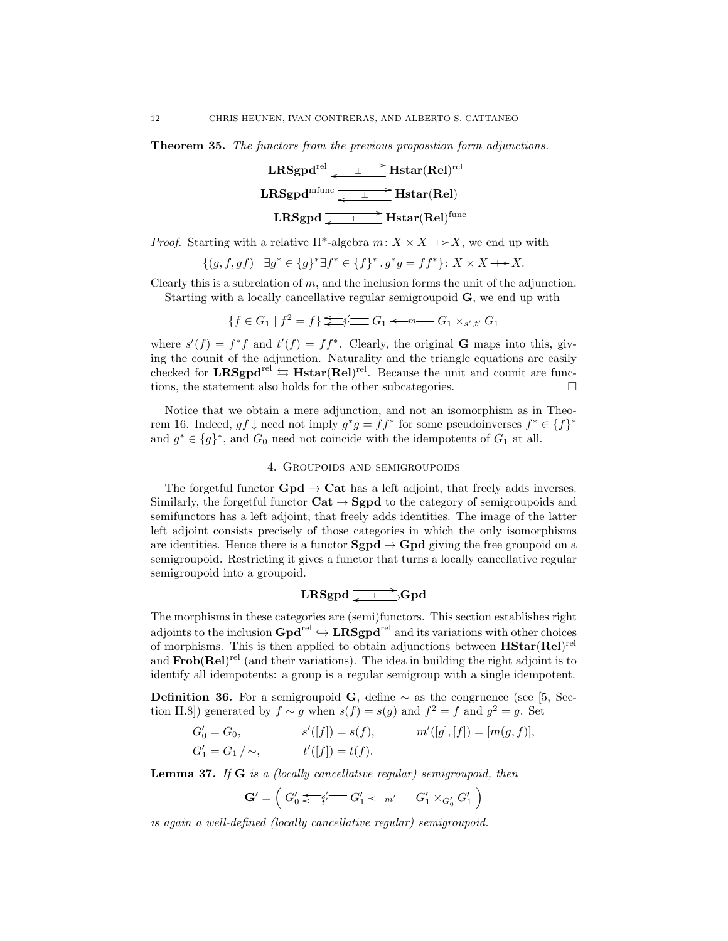Theorem 35. The functors from the previous proposition form adjunctions.



*Proof.* Starting with a relative H<sup>\*</sup>-algebra  $m: X \times X \longrightarrow X$ , we end up with

$$
\{(g, f, gf) \mid \exists g^* \in \{g\}^* \exists f^* \in \{f\}^* \, . \, g^*g = ff^* \} \colon X \times X \to X.
$$

Clearly this is a subrelation of  $m$ , and the inclusion forms the unit of the adjunction. Starting with a locally cancellative regular semigroupoid G, we end up with

 ${f \in G_1 | f^2 = f} \leq \frac{1}{t'} \leq G_1 \leq m \leq G_1 \times s', t' \cdot G_1$ 

where  $s'(f) = f^*f$  and  $t'(f) = ff^*$ . Clearly, the original **G** maps into this, giving the counit of the adjunction. Naturality and the triangle equations are easily checked for  $\mathbf{LRSgpd}^{\text{rel}} \Leftrightarrow \mathbf{Hstar}(Rel)^{\text{rel}}$ . Because the unit and counit are functions, the statement also holds for the other subcategories.  $\Box$ 

Notice that we obtain a mere adjunction, and not an isomorphism as in Theorem 16. Indeed,  $gf\downarrow$  need not imply  $g^*g = ff^*$  for some pseudoinverses  $f^* \in \{f\}^*$ and  $g^* \in \{g\}^*$ , and  $G_0$  need not coincide with the idempotents of  $G_1$  at all.

## 4. Groupoids and semigroupoids

The forgetful functor  $Gpd \rightarrow Cat$  has a left adjoint, that freely adds inverses. Similarly, the forgetful functor  $\text{Cat} \to \text{Sgpd}$  to the category of semigroupoids and semifunctors has a left adjoint, that freely adds identities. The image of the latter left adjoint consists precisely of those categories in which the only isomorphisms are identities. Hence there is a functor  $Sgpd \rightarrow Gpd$  giving the free groupoid on a semigroupoid. Restricting it gives a functor that turns a locally cancellative regular semigroupoid into a groupoid.

# LRSgpd / o <sup>⊥</sup> ? \_Gpd

The morphisms in these categories are (semi)functors. This section establishes right adjoints to the inclusion  $Gpd^{\text{rel}} \hookrightarrow \text{LRSgpd}^{\text{rel}}$  and its variations with other choices of morphisms. This is then applied to obtain adjunctions between  $\text{HStar}(\text{Rel})^{\text{rel}}$ and  $\textbf{Frob}(\textbf{Rel})^{\text{rel}}$  (and their variations). The idea in building the right adjoint is to identify all idempotents: a group is a regular semigroup with a single idempotent.

**Definition 36.** For a semigroupoid G, define  $\sim$  as the congruence (see [5, Section II.8)) generated by  $f \sim g$  when  $s(f) = s(g)$  and  $f^2 = f$  and  $g^2 = g$ . Set

$$
G'_0 = G_0,
$$
  $s'([f]) = s(f),$   $m'([g],[f]) = [m(g,f)],$   
\n $G'_1 = G_1 / \sim,$   $t'([f]) = t(f).$ 

**Lemma 37.** If  $G$  is a (locally cancellative regular) semigroupoid, then

$$
\mathbf{G}' = \left( G'_0 \sum_{t=1}^{K} G'_1 \sum_{t=1}^{K} G'_1 \sum_{t=1}^{K} G'_1 \times G'_0 G'_1 \right)
$$

is again a well-defined (locally cancellative regular) semigroupoid.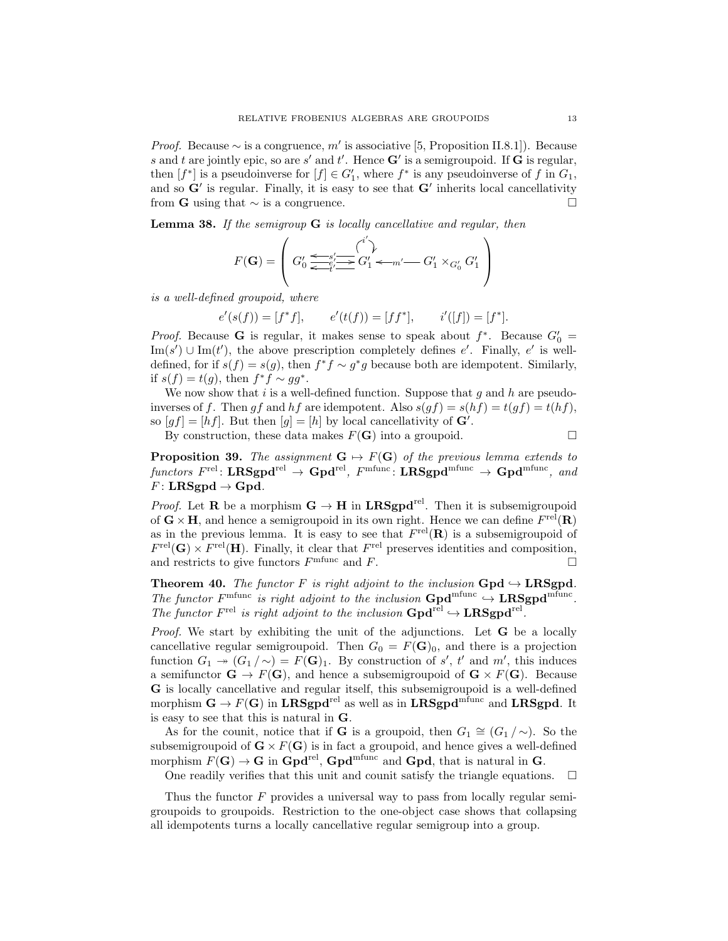*Proof.* Because  $\sim$  is a congruence, m' is associative [5, Proposition II.8.1]). Because s and t are jointly epic, so are s' and t'. Hence  $G'$  is a semigroupoid. If G is regular, then  $[f^*]$  is a pseudoinverse for  $[f] \in G'_1$ , where  $f^*$  is any pseudoinverse of f in  $G_1$ , and so  $G'$  is regular. Finally, it is easy to see that  $G'$  inherits local cancellativity from **G** using that  $\sim$  is a congruence.  $\Box$ 

**Lemma 38.** If the semigroup  $G$  is locally cancellative and regular, then

$$
F(\mathbf{G}) = \left( G'_0 \underbrace{\xleftarrow{\epsilon s'_1 \cdots s'_l} G'_1}_{\leftarrow t' \cdots} G'_1 \leftarrow m' \cdots G'_1 \times_{G'_0} G'_1 \right)
$$

is a well-defined groupoid, where

$$
e'(s(f)) = [f^*f],
$$
  $e'(t(f)) = [ff^*],$   $i'([f]) = [f^*].$ 

*Proof.* Because G is regular, it makes sense to speak about  $f^*$ . Because  $G'_0$  = Im(s')  $\cup$  Im(t'), the above prescription completely defines e'. Finally, e' is welldefined, for if  $s(f) = s(g)$ , then  $f^* f \sim g^* g$  because both are idempotent. Similarly, if  $s(f) = t(g)$ , then  $f^* f \sim gg^*$ .

We now show that  $i$  is a well-defined function. Suppose that  $g$  and  $h$  are pseudoinverses of f. Then qf and hf are idempotent. Also  $s(qf) = s(hf) = t(qf) = t(hf)$ , so  $[gf] = [hf]$ . But then  $[g] = [h]$  by local cancellativity of  $\mathbf{G}'$ .

By construction, these data makes  $F(G)$  into a groupoid.

**Proposition 39.** The assignment  $G \mapsto F(G)$  of the previous lemma extends to  $\emph{functors} \; F^{\mathrm{rel}} \colon \mathbf{LRSgpd}^{\mathrm{rel}} \to \mathbf{Gpd}^{\mathrm{refl}}, \; F^{\mathrm{mfunc}} \colon \mathbf{LRSgpd}^{\mathrm{mfunc}} \to \mathbf{Gpd}^{\mathrm{mfunc}}, \; \emph{and}$  $F:$  LRSgpd  $\rightarrow$  Gpd.

*Proof.* Let **R** be a morphism  $G \rightarrow H$  in LRSgpd<sup>rel</sup>. Then it is subsemigroupoid of  $\mathbf{G} \times \mathbf{H}$ , and hence a semigroupoid in its own right. Hence we can define  $F^{\text{rel}}(\mathbf{R})$ as in the previous lemma. It is easy to see that  $F^{\text{rel}}(\mathbf{R})$  is a subsemigroupoid of  $F^{\text{rel}}(\mathbf{G}) \times F^{\text{rel}}(\mathbf{H})$ . Finally, it clear that  $F^{\text{rel}}$  preserves identities and composition, and restricts to give functors  $F^{\text{mfunc}}$  and  $F$ .

Theorem 40. The functor F is right adjoint to the inclusion  $Gpd \hookrightarrow LRSgpd$ . The functor  $F^{\text{mfunc}}$  is right adjoint to the inclusion  $\text{Gpd}^{\text{mfunc}} \rightarrow \text{LRSgpd}^{\text{mfunc}}$ . The functor  $F^{\text{rel}}$  is right adjoint to the inclusion  $\text{Gpd}^{\text{rel}} \hookrightarrow \text{LRSgpd}^{\text{rel}}$ .

Proof. We start by exhibiting the unit of the adjunctions. Let **G** be a locally cancellative regular semigroupoid. Then  $G_0 = F(\mathbf{G})_0$ , and there is a projection function  $G_1 \twoheadrightarrow (G_1/\sim) = F(\mathbf{G})_1$ . By construction of s', t' and m', this induces a semifunctor  $\mathbf{G} \to F(\mathbf{G})$ , and hence a subsemigroupoid of  $\mathbf{G} \times F(\mathbf{G})$ . Because G is locally cancellative and regular itself, this subsemigroupoid is a well-defined morphism  $\mathbf{G} \to F(\mathbf{G})$  in LRSgpd<sup>rel</sup> as well as in LRSgpd<sup>mfunc</sup> and LRSgpd. It is easy to see that this is natural in G.

As for the counit, notice that if **G** is a groupoid, then  $G_1 \cong (G_1 / \sim)$ . So the subsemigroupoid of  $\mathbf{G}\times F(\mathbf{G})$  is in fact a groupoid, and hence gives a well-defined morphism  $F(\mathbf{G}) \to \mathbf{G}$  in  $\mathbf{Gpd}^{\text{rel}}$ ,  $\mathbf{Gpd}^{\text{mfunc}}$  and  $\mathbf{Gpd}$ , that is natural in  $\mathbf{G}$ .

One readily verifies that this unit and counit satisfy the triangle equations.  $\Box$ 

Thus the functor  $F$  provides a universal way to pass from locally regular semigroupoids to groupoids. Restriction to the one-object case shows that collapsing all idempotents turns a locally cancellative regular semigroup into a group.